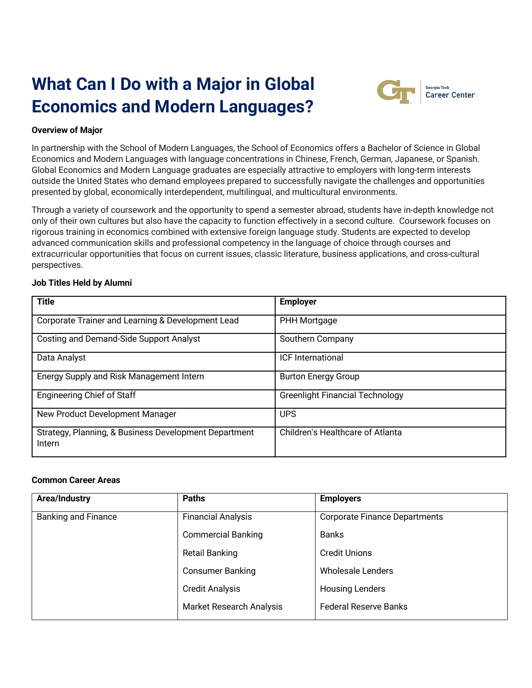# **What Can I Do with a Major in Global Economics and Modern Languages?**



## **Overview of Major**

In partnership with the School of Modern Languages, the School of Economics offers a Bachelor of Science in Global Economics and Modern Languages with language concentrations in Chinese, French, German, Japanese, or Spanish. Global Economics and Modern Language graduates are especially attractive to employers with long-term interests outside the United States who demand employees prepared to successfully navigate the challenges and opportunities presented by global, economically interdependent, multilingual, and multicultural environments.

Through a variety of coursework and the opportunity to spend a semester abroad, students have in-depth knowledge not only of their own cultures but also have the capacity to function effectively in a second culture. Coursework focuses on rigorous training in economics combined with extensive foreign language study. Students are expected to develop advanced communication skills and professional competency in the language of choice through courses and extracurricular opportunities that focus on current issues, classic literature, business applications, and cross-cultural perspectives.

### **Job Titles Held by Alumni**

| <b>Title</b>                                                    | <b>Employer</b>                         |
|-----------------------------------------------------------------|-----------------------------------------|
| Corporate Trainer and Learning & Development Lead               | PHH Mortgage                            |
| <b>Costing and Demand-Side Support Analyst</b>                  | Southern Company                        |
| Data Analyst                                                    | <b>ICF</b> International                |
| Energy Supply and Risk Management Intern                        | <b>Burton Energy Group</b>              |
| <b>Engineering Chief of Staff</b>                               | <b>Greenlight Financial Technology</b>  |
| New Product Development Manager                                 | <b>UPS</b>                              |
| Strategy, Planning, & Business Development Department<br>Intern | <b>Children's Healthcare of Atlanta</b> |

### **Common Career Areas**

| Area/Industry              | <b>Paths</b>              | <b>Employers</b>                     |
|----------------------------|---------------------------|--------------------------------------|
| <b>Banking and Finance</b> | Financial Analysis        | <b>Corporate Finance Departments</b> |
|                            | <b>Commercial Banking</b> | <b>Banks</b>                         |
|                            | <b>Retail Banking</b>     | <b>Credit Unions</b>                 |
|                            | <b>Consumer Banking</b>   | <b>Wholesale Lenders</b>             |
|                            | <b>Credit Analysis</b>    | <b>Housing Lenders</b>               |
|                            | Market Research Analysis  | <b>Federal Reserve Banks</b>         |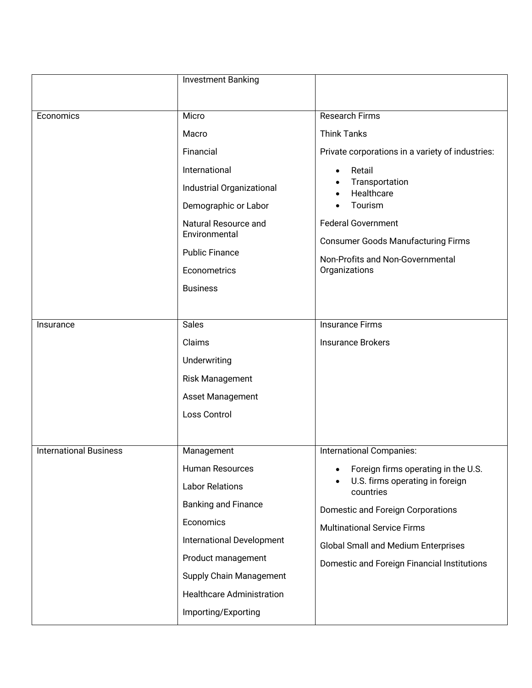|                               | <b>Investment Banking</b>             |                                                                                                                          |
|-------------------------------|---------------------------------------|--------------------------------------------------------------------------------------------------------------------------|
|                               |                                       |                                                                                                                          |
| Economics                     | Micro                                 | <b>Research Firms</b>                                                                                                    |
|                               | Macro                                 | <b>Think Tanks</b>                                                                                                       |
|                               | Financial                             | Private corporations in a variety of industries:                                                                         |
|                               | International                         | Retail                                                                                                                   |
|                               | Industrial Organizational             | Transportation<br>Healthcare                                                                                             |
|                               | Demographic or Labor                  | Tourism                                                                                                                  |
|                               | Natural Resource and<br>Environmental | <b>Federal Government</b><br><b>Consumer Goods Manufacturing Firms</b>                                                   |
|                               | <b>Public Finance</b>                 | Non-Profits and Non-Governmental                                                                                         |
|                               | Econometrics                          | Organizations                                                                                                            |
|                               | <b>Business</b>                       |                                                                                                                          |
|                               |                                       |                                                                                                                          |
| Insurance                     | <b>Sales</b>                          | <b>Insurance Firms</b>                                                                                                   |
|                               | Claims                                | <b>Insurance Brokers</b>                                                                                                 |
|                               | Underwriting                          |                                                                                                                          |
|                               | Risk Management                       |                                                                                                                          |
|                               | Asset Management                      |                                                                                                                          |
|                               | Loss Control                          |                                                                                                                          |
|                               |                                       |                                                                                                                          |
| <b>International Business</b> | Management                            | International Companies:                                                                                                 |
|                               | <b>Human Resources</b>                | Foreign firms operating in the U.S.<br>U.S. firms operating in foreign<br>countries<br>Domestic and Foreign Corporations |
|                               | <b>Labor Relations</b>                |                                                                                                                          |
|                               | <b>Banking and Finance</b>            |                                                                                                                          |
|                               | Economics                             | <b>Multinational Service Firms</b>                                                                                       |
|                               | International Development             | <b>Global Small and Medium Enterprises</b>                                                                               |
|                               | Product management                    | Domestic and Foreign Financial Institutions                                                                              |
|                               | <b>Supply Chain Management</b>        |                                                                                                                          |
|                               | <b>Healthcare Administration</b>      |                                                                                                                          |
|                               | Importing/Exporting                   |                                                                                                                          |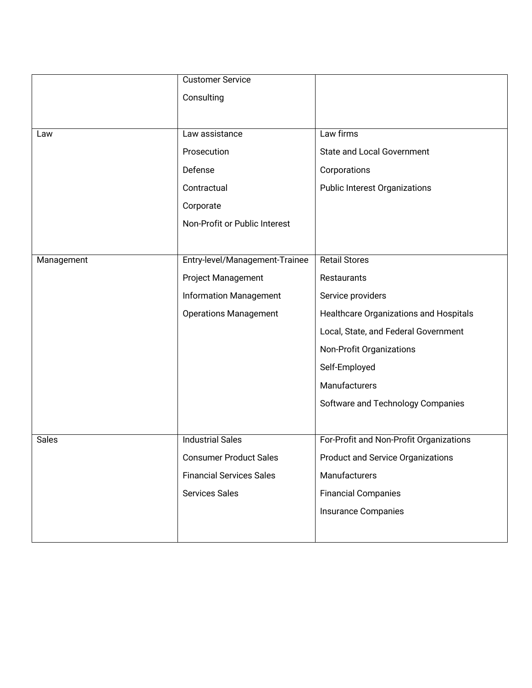|              | <b>Customer Service</b>         |                                          |
|--------------|---------------------------------|------------------------------------------|
|              | Consulting                      |                                          |
|              |                                 |                                          |
| Law          | Law assistance                  | Law firms                                |
|              | Prosecution                     | <b>State and Local Government</b>        |
|              | Defense                         | Corporations                             |
|              | Contractual                     | <b>Public Interest Organizations</b>     |
|              | Corporate                       |                                          |
|              | Non-Profit or Public Interest   |                                          |
|              |                                 |                                          |
| Management   | Entry-level/Management-Trainee  | <b>Retail Stores</b>                     |
|              | Project Management              | Restaurants                              |
|              | <b>Information Management</b>   | Service providers                        |
|              | <b>Operations Management</b>    | Healthcare Organizations and Hospitals   |
|              |                                 | Local, State, and Federal Government     |
|              |                                 | Non-Profit Organizations                 |
|              |                                 | Self-Employed                            |
|              |                                 | Manufacturers                            |
|              |                                 | Software and Technology Companies        |
|              |                                 |                                          |
| <b>Sales</b> | <b>Industrial Sales</b>         | For-Profit and Non-Profit Organizations  |
|              | <b>Consumer Product Sales</b>   | <b>Product and Service Organizations</b> |
|              | <b>Financial Services Sales</b> | Manufacturers                            |
|              | <b>Services Sales</b>           | <b>Financial Companies</b>               |
|              |                                 | <b>Insurance Companies</b>               |
|              |                                 |                                          |
|              |                                 |                                          |